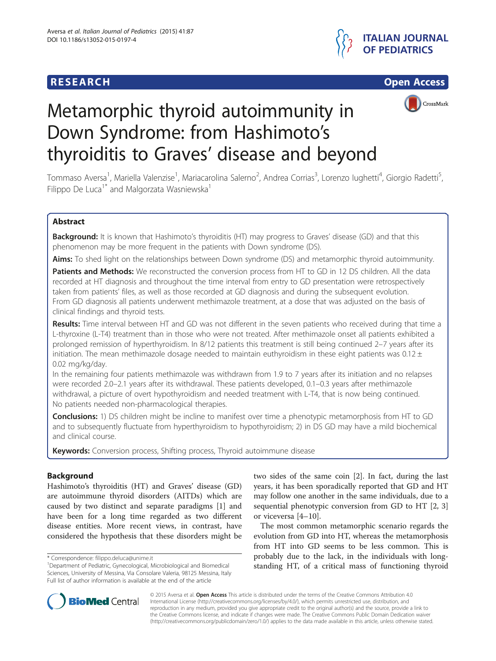





# Metamorphic thyroid autoimmunity in Down Syndrome: from Hashimoto's thyroiditis to Graves' disease and beyond

Tommaso Aversa<sup>1</sup>, Mariella Valenzise<sup>1</sup>, Mariacarolina Salerno<sup>2</sup>, Andrea Corrias<sup>3</sup>, Lorenzo Iughetti<sup>4</sup>, Giorgio Radetti<sup>5</sup> , Filippo De Luca<sup>1\*</sup> and Malgorzata Wasniewska<sup>1</sup>

# Abstract

Background: It is known that Hashimoto's thyroiditis (HT) may progress to Graves' disease (GD) and that this phenomenon may be more frequent in the patients with Down syndrome (DS).

Aims: To shed light on the relationships between Down syndrome (DS) and metamorphic thyroid autoimmunity.

Patients and Methods: We reconstructed the conversion process from HT to GD in 12 DS children. All the data recorded at HT diagnosis and throughout the time interval from entry to GD presentation were retrospectively taken from patients' files, as well as those recorded at GD diagnosis and during the subsequent evolution. From GD diagnosis all patients underwent methimazole treatment, at a dose that was adjusted on the basis of clinical findings and thyroid tests.

Results: Time interval between HT and GD was not different in the seven patients who received during that time a L-thyroxine (L-T4) treatment than in those who were not treated. After methimazole onset all patients exhibited a prolonged remission of hyperthyroidism. In 8/12 patients this treatment is still being continued 2–7 years after its initiation. The mean methimazole dosage needed to maintain euthyroidism in these eight patients was 0.12  $\pm$ 0.02 mg/kg/day.

In the remaining four patients methimazole was withdrawn from 1.9 to 7 years after its initiation and no relapses were recorded 2.0–2.1 years after its withdrawal. These patients developed, 0.1–0.3 years after methimazole withdrawal, a picture of overt hypothyroidism and needed treatment with L-T4, that is now being continued. No patients needed non-pharmacological therapies.

Conclusions: 1) DS children might be incline to manifest over time a phenotypic metamorphosis from HT to GD and to subsequently fluctuate from hyperthyroidism to hypothyroidism; 2) in DS GD may have a mild biochemical and clinical course.

Keywords: Conversion process, Shifting process, Thyroid autoimmune disease

# Background

Hashimoto's thyroiditis (HT) and Graves' disease (GD) are autoimmune thyroid disorders (AITDs) which are caused by two distinct and separate paradigms [\[1\]](#page-4-0) and have been for a long time regarded as two different disease entities. More recent views, in contrast, have considered the hypothesis that these disorders might be

two sides of the same coin [[2](#page-4-0)]. In fact, during the last years, it has been sporadically reported that GD and HT may follow one another in the same individuals, due to a sequential phenotypic conversion from GD to HT [[2, 3](#page-4-0)] or viceversa [[4](#page-4-0)–[10](#page-4-0)].

The most common metamorphic scenario regards the evolution from GD into HT, whereas the metamorphosis from HT into GD seems to be less common. This is probably due to the lack, in the individuals with longstanding HT, of a critical mass of functioning thyroid



© 2015 Aversa et al. Open Access This article is distributed under the terms of the Creative Commons Attribution 4.0 International License [\(http://creativecommons.org/licenses/by/4.0/](http://creativecommons.org/licenses/by/4.0/)), which permits unrestricted use, distribution, and reproduction in any medium, provided you give appropriate credit to the original author(s) and the source, provide a link to the Creative Commons license, and indicate if changes were made. The Creative Commons Public Domain Dedication waiver [\(http://creativecommons.org/publicdomain/zero/1.0/](http://creativecommons.org/publicdomain/zero/1.0/)) applies to the data made available in this article, unless otherwise stated.

<sup>\*</sup> Correspondence: [filippo.deluca@unime.it](mailto:filippo.deluca@unime.it) <sup>1</sup>

<sup>&</sup>lt;sup>1</sup>Department of Pediatric, Gynecological, Microbiological and Biomedical Sciences, University of Messina, Via Consolare Valeria, 98125 Messina, Italy Full list of author information is available at the end of the article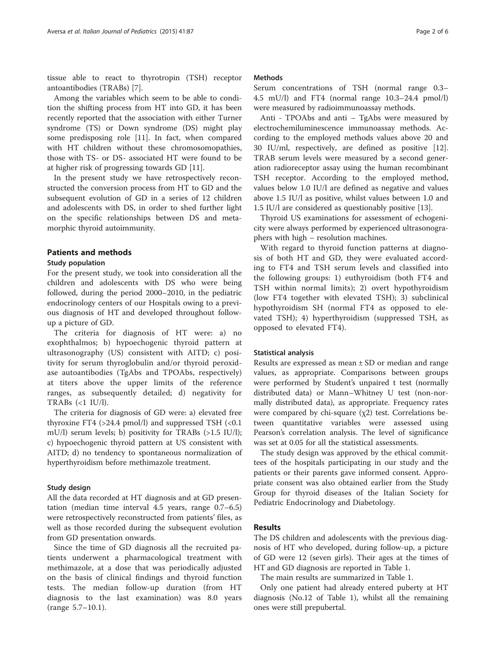tissue able to react to thyrotropin (TSH) receptor antoantibodies (TRABs) [\[7](#page-4-0)].

Among the variables which seem to be able to condition the shifting process from HT into GD, it has been recently reported that the association with either Turner syndrome (TS) or Down syndrome (DS) might play some predisposing role [\[11\]](#page-4-0). In fact, when compared with HT children without these chromosomopathies, those with TS- or DS- associated HT were found to be at higher risk of progressing towards GD [[11](#page-4-0)].

In the present study we have retrospectively reconstructed the conversion process from HT to GD and the subsequent evolution of GD in a series of 12 children and adolescents with DS, in order to shed further light on the specific relationships between DS and metamorphic thyroid autoimmunity.

#### Patients and methods

## Study population

For the present study, we took into consideration all the children and adolescents with DS who were being followed, during the period 2000–2010, in the pediatric endocrinology centers of our Hospitals owing to a previous diagnosis of HT and developed throughout followup a picture of GD.

The criteria for diagnosis of HT were: a) no exophthalmos; b) hypoechogenic thyroid pattern at ultrasonography (US) consistent with AITD; c) positivity for serum thyroglobulin and/or thyroid peroxidase autoantibodies (TgAbs and TPOAbs, respectively) at titers above the upper limits of the reference ranges, as subsequently detailed; d) negativity for TRABs (<1 IU/l).

The criteria for diagnosis of GD were: a) elevated free thyroxine FT4  $(>24.4 \text{ pmol/l})$  and suppressed TSH  $(<0.1$ mU/l) serum levels; b) positivity for TRABs (>1.5 IU/l); c) hypoechogenic thyroid pattern at US consistent with AITD; d) no tendency to spontaneous normalization of hyperthyroidism before methimazole treatment.

#### Study design

All the data recorded at HT diagnosis and at GD presentation (median time interval 4.5 years, range 0.7–6.5) were retrospectively reconstructed from patients' files, as well as those recorded during the subsequent evolution from GD presentation onwards.

Since the time of GD diagnosis all the recruited patients underwent a pharmacological treatment with methimazole, at a dose that was periodically adjusted on the basis of clinical findings and thyroid function tests. The median follow-up duration (from HT diagnosis to the last examination) was 8.0 years (range 5.7–10.1).

#### Methods

Serum concentrations of TSH (normal range 0.3– 4.5 mU/l) and FT4 (normal range 10.3–24.4 pmol/l) were measured by radioimmunoassay methods.

Anti - TPOAbs and anti – TgAbs were measured by electrochemiluminescence immunoassay methods. According to the employed methods values above 20 and 30 IU/ml, respectively, are defined as positive [\[12](#page-4-0)]. TRAB serum levels were measured by a second generation radioreceptor assay using the human recombinant TSH receptor. According to the employed method, values below 1.0 IU/l are defined as negative and values above 1.5 IU/l as positive, whilst values between 1.0 and 1.5 IU/l are considered as questionably positive [[13\]](#page-4-0).

Thyroid US examinations for assessment of echogenicity were always performed by experienced ultrasonographers with high – resolution machines.

With regard to thyroid function patterns at diagnosis of both HT and GD, they were evaluated according to FT4 and TSH serum levels and classified into the following groups: 1) euthyroidism (both FT4 and TSH within normal limits); 2) overt hypothyroidism (low FT4 together with elevated TSH); 3) subclinical hypothyroidism SH (normal FT4 as opposed to elevated TSH); 4) hyperthyroidism (suppressed TSH, as opposed to elevated FT4).

#### Statistical analysis

Results are expressed as mean  $\pm$  SD or median and range values, as appropriate. Comparisons between groups were performed by Student's unpaired t test (normally distributed data) or Mann–Whitney U test (non-normally distributed data), as appropriate. Frequency rates were compared by chi-square  $(\chi 2)$  test. Correlations between quantitative variables were assessed using Pearson's correlation analysis. The level of significance was set at 0.05 for all the statistical assessments.

The study design was approved by the ethical committees of the hospitals participating in our study and the patients or their parents gave informed consent. Appropriate consent was also obtained earlier from the Study Group for thyroid diseases of the Italian Society for Pediatric Endocrinology and Diabetology.

#### Results

The DS children and adolescents with the previous diagnosis of HT who developed, during follow-up, a picture of GD were 12 (seven girls). Their ages at the times of HT and GD diagnosis are reported in Table [1.](#page-2-0)

The main results are summarized in Table [1](#page-2-0).

Only one patient had already entered puberty at HT diagnosis (No.12 of Table [1](#page-2-0)), whilst all the remaining ones were still prepubertal.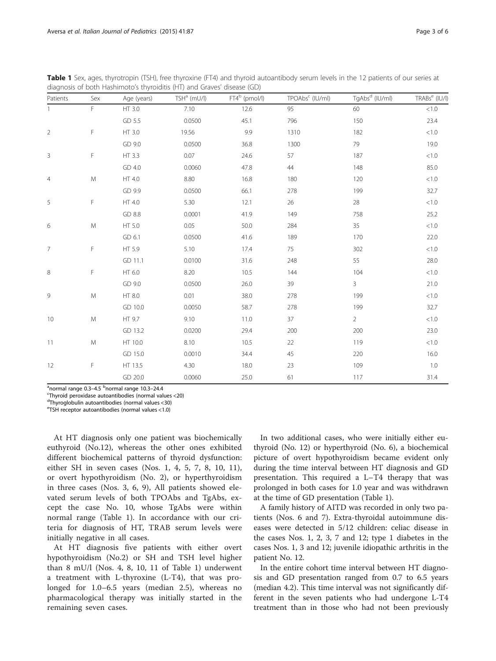| Patients       | Sex       | Age (years) | $TSH^a$ (mU/l) | $FT4^b$ (pmol/l) | TPOAbs <sup>c</sup> (IU/ml) | TgAbs <sup>d</sup> (IU/ml) | TRABs <sup>e</sup> (IU/I) |
|----------------|-----------|-------------|----------------|------------------|-----------------------------|----------------------------|---------------------------|
|                | F.        | HT 3.0      | 7.10           | 12.6             | 95                          | 60                         | < 1.0                     |
|                |           | GD 5.5      | 0.0500         | 45.1             | 796                         | 150                        | 23.4                      |
| $\sqrt{2}$     | F         | HT 3.0      | 19.56          | 9.9              | 1310                        | 182                        | $<\!1.0$                  |
|                |           | GD 9.0      | 0.0500         | 36.8             | 1300                        | 79                         | 19.0                      |
| $\mathsf 3$    | F         | HT 3.3      | 0.07           | 24.6             | 57                          | 187                        | $<\!1.0$                  |
|                |           | GD 4.0      | 0.0060         | 47.8             | 44                          | 148                        | 85.0                      |
| $\overline{4}$ | M         | HT 4.0      | 8.80           | 16.8             | 180                         | 120                        | $<\!1.0$                  |
|                |           | GD 9.9      | 0.0500         | 66.1             | 278                         | 199                        | 32.7                      |
| 5              | F         | HT 4.0      | 5.30           | 12.1             | 26                          | 28                         | $<\!1.0$                  |
|                |           | GD 8.8      | 0.0001         | 41.9             | 149                         | 758                        | 25.2                      |
| 6              | ${\sf M}$ | HT 5.0      | 0.05           | 50.0             | 284                         | 35                         | $<\!1.0$                  |
|                |           | GD 6.1      | 0.0500         | 41.6             | 189                         | 170                        | 22.0                      |
| $\overline{7}$ | F         | HT 5.9      | 5.10           | 17.4             | 75                          | 302                        | $<1.0$                    |
|                |           | GD 11.1     | 0.0100         | 31.6             | 248                         | 55                         | 28.0                      |
| $\,8\,$        | F         | HT 6.0      | 8.20           | 10.5             | 144                         | 104                        | $<\!1.0$                  |
|                |           | GD 9.0      | 0.0500         | 26.0             | 39                          | $\mathbf{3}$               | 21.0                      |
| $\,9$          | ${\sf M}$ | HT 8.0      | 0.01           | 38.0             | 278                         | 199                        | $<\!1.0$                  |
|                |           | GD 10.0     | 0.0050         | 58.7             | 278                         | 199                        | 32.7                      |
| 10             | M         | HT 9.7      | 9.10           | 11.0             | 37                          | $\overline{2}$             | $<\!1.0$                  |
|                |           | GD 13.2     | 0.0200         | 29.4             | 200                         | 200                        | 23.0                      |
| 11             | ${\sf M}$ | HT 10.0     | 8.10           | 10.5             | 22                          | 119                        | $<\!1.0$                  |
|                |           | GD 15.0     | 0.0010         | 34.4             | 45                          | 220                        | 16.0                      |
| 12             | F         | HT 13.5     | 4.30           | 18.0             | 23                          | 109                        | $1.0\,$                   |
|                |           | GD 20.0     | 0.0060         | 25.0             | 61                          | 117                        | 31.4                      |

<span id="page-2-0"></span>Table 1 Sex, ages, thyrotropin (TSH), free thyroxine (FT4) and thyroid autoantibody serum levels in the 12 patients of our series at diagnosis of both Hashimoto's thyroiditis (HT) and Graves' disease (GD)

<sup>a</sup>normal range 0.3–4.5 <sup>b</sup>normal range 10.3–24.4<br><sup>C</sup>Tbyroid perovidase autoantibedies (permal val

Thyroid peroxidase autoantibodies (normal values <20)

d Thyroglobulin autoantibodies (normal values <30)

e TSH receptor autoantibodies (normal values <1.0)

At HT diagnosis only one patient was biochemically euthyroid (No.12), whereas the other ones exhibited different biochemical patterns of thyroid dysfunction: either SH in seven cases (Nos. 1, 4, 5, 7, 8, 10, 11), or overt hypothyroidism (No. 2), or hyperthyroidism in three cases (Nos. 3, 6, 9), All patients showed elevated serum levels of both TPOAbs and TgAbs, except the case No. 10, whose TgAbs were within normal range (Table 1). In accordance with our criteria for diagnosis of HT, TRAB serum levels were initially negative in all cases.

At HT diagnosis five patients with either overt hypothyroidism (No.2) or SH and TSH level higher than 8 mU/l (Nos. 4, 8, 10, 11 of Table 1) underwent a treatment with L-thyroxine (L-T4), that was prolonged for 1.0–6.5 years (median 2.5), whereas no pharmacological therapy was initially started in the remaining seven cases.

In two additional cases, who were initially either euthyroid (No. 12) or hyperthyroid (No. 6), a biochemical picture of overt hypothyroidism became evident only during the time interval between HT diagnosis and GD presentation. This required a L–T4 therapy that was prolonged in both cases for 1.0 year and was withdrawn at the time of GD presentation (Table 1).

A family history of AITD was recorded in only two patients (Nos. 6 and 7). Extra-thyroidal autoimmune diseases were detected in 5/12 children: celiac disease in the cases Nos. 1, 2, 3, 7 and 12; type 1 diabetes in the cases Nos. 1, 3 and 12; juvenile idiopathic arthritis in the patient No. 12.

In the entire cohort time interval between HT diagnosis and GD presentation ranged from 0.7 to 6.5 years (median 4.2). This time interval was not significantly different in the seven patients who had undergone L-T4 treatment than in those who had not been previously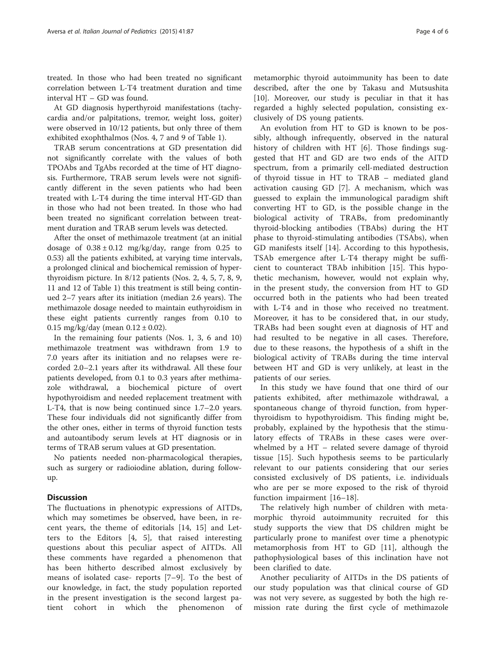treated. In those who had been treated no significant correlation between L-T4 treatment duration and time interval HT – GD was found.

At GD diagnosis hyperthyroid manifestations (tachycardia and/or palpitations, tremor, weight loss, goiter) were observed in 10/12 patients, but only three of them exhibited exophthalmos (Nos. 4, 7 and 9 of Table [1\)](#page-2-0).

TRAB serum concentrations at GD presentation did not significantly correlate with the values of both TPOAbs and TgAbs recorded at the time of HT diagnosis. Furthermore, TRAB serum levels were not significantly different in the seven patients who had been treated with L-T4 during the time interval HT-GD than in those who had not been treated. In those who had been treated no significant correlation between treatment duration and TRAB serum levels was detected.

After the onset of methimazole treatment (at an initial dosage of  $0.38 \pm 0.12$  mg/kg/day, range from 0.25 to 0.53) all the patients exhibited, at varying time intervals, a prolonged clinical and biochemical remission of hyperthyroidism picture. In 8/12 patients (Nos. 2, 4, 5, 7, 8, 9, 11 and 12 of Table [1\)](#page-2-0) this treatment is still being continued 2–7 years after its initiation (median 2.6 years). The methimazole dosage needed to maintain euthyroidism in these eight patients currently ranges from 0.10 to 0.15 mg/kg/day (mean  $0.12 \pm 0.02$ ).

In the remaining four patients (Nos. 1, 3, 6 and 10) methimazole treatment was withdrawn from 1.9 to 7.0 years after its initiation and no relapses were recorded 2.0–2.1 years after its withdrawal. All these four patients developed, from 0.1 to 0.3 years after methimazole withdrawal, a biochemical picture of overt hypothyroidism and needed replacement treatment with L-T4, that is now being continued since 1.7–2.0 years. These four individuals did not significantly differ from the other ones, either in terms of thyroid function tests and autoantibody serum levels at HT diagnosis or in terms of TRAB serum values at GD presentation.

No patients needed non-pharmacological therapies, such as surgery or radioiodine ablation, during followup.

# **Discussion**

The fluctuations in phenotypic expressions of AITDs, which may sometimes be observed, have been, in recent years, the theme of editorials [[14, 15](#page-4-0)] and Letters to the Editors [\[4](#page-4-0), [5](#page-4-0)], that raised interesting questions about this peculiar aspect of AITDs. All these comments have regarded a phenomenon that has been hitherto described almost exclusively by means of isolated case- reports [[7](#page-4-0)–[9\]](#page-4-0). To the best of our knowledge, in fact, the study population reported in the present investigation is the second largest patient cohort in which the phenomenon of

metamorphic thyroid autoimmunity has been to date described, after the one by Takasu and Mutsushita [[10\]](#page-4-0). Moreover, our study is peculiar in that it has regarded a highly selected population, consisting exclusively of DS young patients.

An evolution from HT to GD is known to be possibly, although infrequently, observed in the natural history of children with HT [[6\]](#page-4-0). Those findings suggested that HT and GD are two ends of the AITD spectrum, from a primarily cell-mediated destruction of thyroid tissue in HT to TRAB – mediated gland activation causing GD [[7\]](#page-4-0). A mechanism, which was guessed to explain the immunological paradigm shift converting HT to GD, is the possible change in the biological activity of TRABs, from predominantly thyroid-blocking antibodies (TBAbs) during the HT phase to thyroid-stimulating antibodies (TSAbs), when GD manifests itself [[14](#page-4-0)]. According to this hypothesis, TSAb emergence after L-T4 therapy might be sufficient to counteract TBAb inhibition [[15\]](#page-4-0). This hypothetic mechanism, however, would not explain why, in the present study, the conversion from HT to GD occurred both in the patients who had been treated with L-T4 and in those who received no treatment. Moreover, it has to be considered that, in our study, TRABs had been sought even at diagnosis of HT and had resulted to be negative in all cases. Therefore, due to these reasons, the hypothesis of a shift in the biological activity of TRABs during the time interval between HT and GD is very unlikely, at least in the patients of our series.

In this study we have found that one third of our patients exhibited, after methimazole withdrawal, a spontaneous change of thyroid function, from hyperthyroidism to hypothyroidism. This finding might be, probably, explained by the hypothesis that the stimulatory effects of TRABs in these cases were overwhelmed by a HT – related severe damage of thyroid tissue [[15\]](#page-4-0). Such hypothesis seems to be particularly relevant to our patients considering that our series consisted exclusively of DS patients, i.e. individuals who are per se more exposed to the risk of thyroid function impairment [\[16](#page-4-0)–[18](#page-4-0)].

The relatively high number of children with metamorphic thyroid autoimmunity recruited for this study supports the view that DS children might be particularly prone to manifest over time a phenotypic metamorphosis from HT to GD [[11\]](#page-4-0), although the pathophysiological bases of this inclination have not been clarified to date.

Another peculiarity of AITDs in the DS patients of our study population was that clinical course of GD was not very severe, as suggested by both the high remission rate during the first cycle of methimazole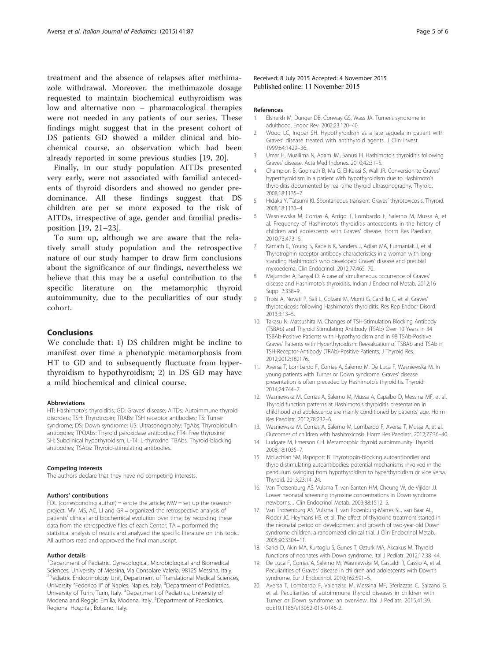<span id="page-4-0"></span>treatment and the absence of relapses after methimazole withdrawal. Moreover, the methimazole dosage requested to maintain biochemical euthyroidism was low and alternative non – pharmacological therapies were not needed in any patients of our series. These findings might suggest that in the present cohort of DS patients GD showed a milder clinical and biochemical course, an observation which had been already reported in some previous studies [19, 20].

Finally, in our study population AITDs presented very early, were not associated with familial antecedents of thyroid disorders and showed no gender predominance. All these findings suggest that DS children are per se more exposed to the risk of AITDs, irrespective of age, gender and familial predisposition [19, [21](#page-5-0)–[23\]](#page-5-0).

To sum up, although we are aware that the relatively small study population and the retrospective nature of our study hamper to draw firm conclusions about the significance of our findings, nevertheless we believe that this may be a useful contribution to the specific literature on the metamorphic thyroid autoimmunity, due to the peculiarities of our study cohort.

## Conclusions

We conclude that: 1) DS children might be incline to manifest over time a phenotypic metamorphosis from HT to GD and to subsequently fluctuate from hyperthyroidism to hypothyroidism; 2) in DS GD may have a mild biochemical and clinical course.

#### Abbreviations

HT: Hashimoto's thyroiditis; GD: Graves' disease; AITDs: Autoimmune thyroid disorders; TSH: Thyrotropin; TRABs: TSH receptor antibodies; TS: Turner syndrome; DS: Down syndrome; US: Ultrasonography; TgAbs: Thyroblobulin antibodies; TPOAbs: Thyroid peroxidase antibodies; FT4: Free thyroxine; SH: Subclinical hypothyroidism; L-T4: L-thyroxine; TBAbs: Thyroid-blocking antibodies; TSAbs: Thyroid-stimulating antibodies.

#### Competing interests

The authors declare that they have no competing interests.

#### Authors' contributions

FDL (corresponding author) = wrote the article;  $MW = set up$  the research project; MV, MS, AC, LI and GR = organized the retrospective analysis of patients' clinical and biochemical evolution over time, by recording these data from the retrospective files of each Center; TA = performed the statistical analysis of results and analyzed the specific literature on this topic. All authors read and approved the final manuscript.

#### Author details

<sup>1</sup>Department of Pediatric, Gynecological, Microbiological and Biomedical Sciences, University of Messina, Via Consolare Valeria, 98125 Messina, Italy. <sup>2</sup> Pediatric Endocrinology Unit, Department of Translational Medical Sciences, University "Federico II" of Naples, Naples, Italy. <sup>3</sup>Department of Pediatrics, University of Turin, Turin, Italy. <sup>4</sup>Department of Pediatrics, University of Modena and Reggio Emilia, Modena, Italy. <sup>5</sup>Department of Paediatrics, Regional Hospital, Bolzano, Italy.

Received: 8 July 2015 Accepted: 4 November 2015 Published online: 11 November 2015

#### References

- 1. Elsheikh M, Dunger DB, Conway GS, Wass JA. Turner's syndrome in adulthood. Endoc Rev. 2002;23:120–40.
- 2. Wood LC, Ingbar SH. Hypothyroidism as a late sequela in patient with Graves' disease treated with antithyroid agents. J Clin Invest. 1999;64:1429–36.
- 3. Umar H, Muallima N, Adam JM, Sanusi H. Hashimoto's thyroiditis following Graves' disease. Acta Med Indones. 2010;42:31–5.
- 4. Champion B, Gopinath B, Ma G, El-Kaissi S, Wall JR. Conversion to Graves' hyperthyroidism in a patient with hypothyroidism due to Hashimoto's thyroiditis documented by real-time thyroid ultrasonography. Thyroid. 2008;18:1135–7.
- 5. Hidaka Y, Tatsumi KI. Spontaneous transient Graves' thyrotoxicosis. Thyroid. 2008;18:1133–4.
- 6. Wasniewska M, Corrias A, Arrigo T, Lombardo F, Salerno M, Mussa A, et al. Frequency of Hashimoto's thyroiditis antecedents in the history of children and adolescents with Graves' disease. Horm Res Paediatr. 2010;73:473–6.
- 7. Kamath C, Young S, Kabelis K, Sanders J, Adlan MA, Furmaniak J, et al. Thyrotrophin receptor antibody characteristics in a woman with longstanding Hashimoto's who developed Graves' disease and pretibial myxoedema. Clin Endocrinol. 2012;77:465–70.
- 8. Majumder A, Sanyal D. A case of simultaneous occurrence of Graves' disease and Hashimoto's thyroiditis. Indian J Endocrinol Metab. 2012;16 Suppl 2:338–9.
- 9. Troisi A, Novati P, Sali L, Colzani M, Monti G, Cardillo C, et al. Graves' thyrotoxicosis following Hashimoto's thyroiditis. Res Rep Endocr Disord. 2013;3:13–5.
- 10. Takasu N, Matsushita M. Changes of TSH-Stimulation Blocking Antibody (TSBAb) and Thyroid Stimulating Antibody (TSAb) Over 10 Years in 34 TSBAb-Positive Patients with Hypothyroidism and in 98 TSAb-Positive Graves' Patients with Hyperthyroidism: Reevaluation of TSBAb and TSAb in TSH-Receptor-Antibody (TRAb)-Positive Patients. J Thyroid Res. 2012;2012:182176.
- 11. Aversa T, Lombardo F, Corrias A, Salerno M, De Luca F, Wasniewska M. In young patients with Turner or Down syndrome, Graves' disease presentation is often preceded by Hashimoto's thyroiditis. Thyroid. 2014;24:744–7.
- 12. Wasniewska M, Corrias A, Salerno M, Mussa A, Capalbo D, Messina MF, et al. Thyroid function patterns at Hashimoto's thyroiditis presentation in childhood and adolescence are mainly conditioned by patients' age. Horm Res Paediatr. 2012;78:232–6.
- 13. Wasniewska M, Corrias A, Salerno M, Lombardo F, Aversa T, Mussa A, et al. Outcomes of children with hashitoxicosis. Horm Res Paediatr. 2012;77:36–40.
- 14. Ludgate M, Emerson CH. Metamorphic thyroid autoimmunity. Thyroid. 2008;18:1035–7.
- 15. McLachlan SM, Rapoport B. Thyrotropin-blocking autoantibodies and thyroid-stimulating autoantibodies: potential mechanisms involved in the pendulum swinging from hypothyroidism to hyperthyroidism or vice versa. Thyroid. 2013;23:14–24.
- 16. Van Trotsenburg AS, Vulsma T, van Santen HM, Cheung W, de Vijlder JJ. Lower neonatal screening thyroxine concentrations in Down syndrome newborns. J Clin Endocrinol Metab. 2003;88:1512–5.
- 17. Van Trotsenburg AS, Vulsma T, van Rozenburg-Marres SL, van Baar AL, Ridder JC, Heymans HS, et al. The effect of thyroxine treatment started in the neonatal period on development and growth of two-year-old Down syndrome children: a randomized clinical trial. J Clin Endocrinol Metab. 2005;90:3304–11.
- 18. Sarici D, Akin MA, Kurtoglu S, Gunes T, Ozturk MA, Akcakus M. Thyroid functions of neonates with Down syndrome. Ital J Pediatr. 2012;17:38–44.
- 19. De Luca F, Corrias A, Salerno M, Wasniewska M, Gastaldi R, Cassio A, et al. Peculiarities of Graves' disease in children and adolescents with Down's syndrome. Eur J Endocrinol. 2010;162:591–5.
- 20. Aversa T, Lombardo F, Valenzise M, Messina MF, Sferlazzas C, Salzano G, et al. Peculiarities of autoimmune thyroid diseases in children with Turner or Down syndrome: an overview. Ital J Pediatr. 2015;41:39. doi[:10.1186/s13052-015-0146-2.](http://dx.doi.org/10.1186/s13052-015-0146-2)